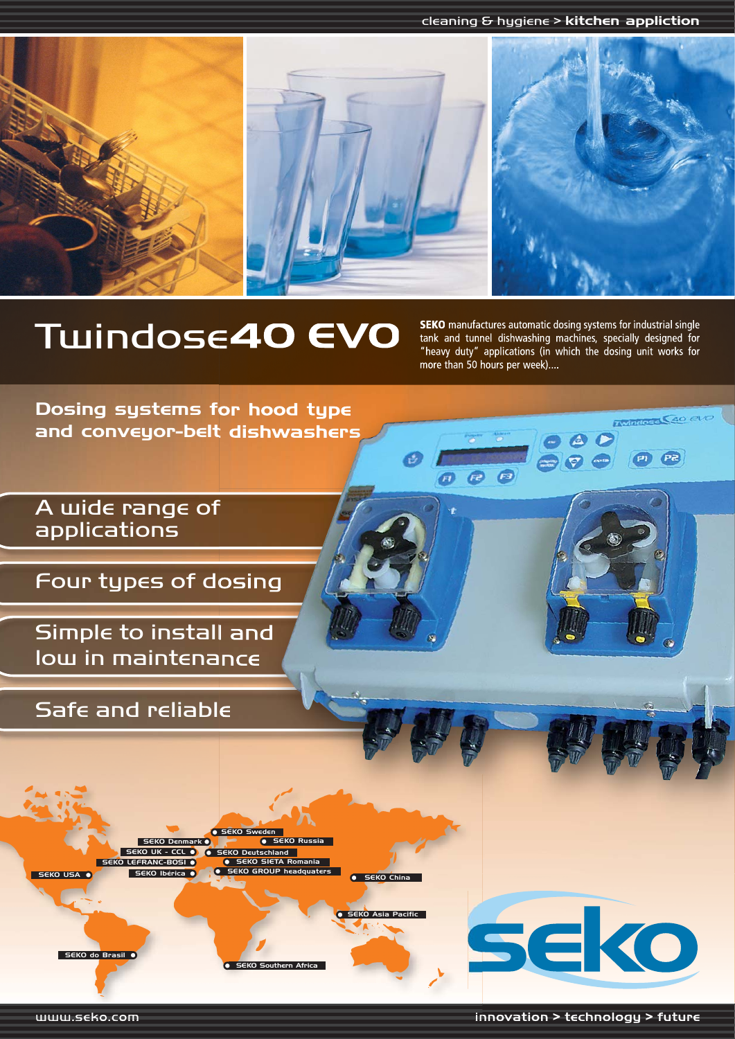cleaning & hygiene > kitchen appliction



# **TWINDOSE40 EVO** SEKO manufactures automatic dosing systems for industrial single

tank and tunnel dishwashing machines, specially designed for "heavy duty" applications (in which the dosing unit works for more than 50 hours per week)....

**Q**B

Twindose C40 CVO

 $P$ 

Dosing systems for hood type and conveyor-belt dishwashers

A wide range of applications

Four types of dosing

Simple to install and low in maintenance

Safe and reliable

SEKO USA O SEKO Ibérica O SEKO LEFRANC-BOSI  $\overline{SO(1)}$ K - CCL SEKO Denmark O**K SEKO Russia** SEKO GROUP headquaters SEKO Deutschland EKO SIETA F SEKO Sweden

**C** SEKO Southern Afric

 $\bullet$  SEKO China

SEKO Asia Pacific

SEKO do Brasil

seko